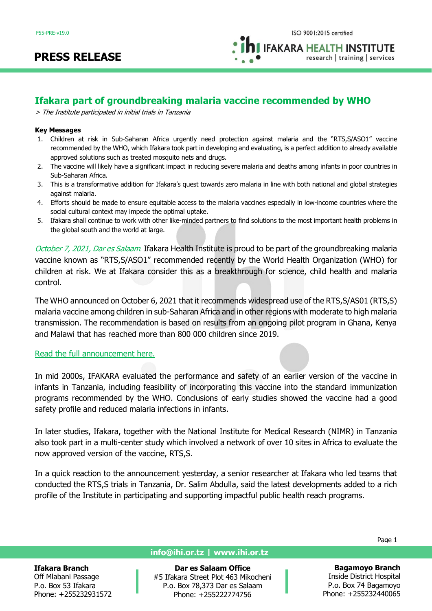**IFAKARA HEALTH INSTITUTE** research | training | services

## **Ifakara part of groundbreaking malaria vaccine recommended by WHO**

> The Institute participated in initial trials in Tanzania

#### **Key Messages**

- 1. Children at risk in Sub-Saharan Africa urgently need protection against malaria and the "RTS,S/ASO1" vaccine recommended by the WHO, which Ifakara took part in developing and evaluating, is a perfect addition to already available approved solutions such as treated mosquito nets and drugs.
- 2. The vaccine will likely have a significant impact in reducing severe malaria and deaths among infants in poor countries in Sub-Saharan Africa.
- 3. This is a transformative addition for Ifakara's quest towards zero malaria in line with both national and global strategies against malaria.
- 4. Efforts should be made to ensure equitable access to the malaria vaccines especially in low-income countries where the social cultural context may impede the optimal uptake.
- 5. Ifakara shall continue to work with other like-minded partners to find solutions to the most important health problems in the global south and the world at large.

October 7, 2021, Dar es Salaam. Ifakara Health Institute is proud to be part of the groundbreaking malaria vaccine known as "RTS,S/ASO1" recommended recently by the World Health Organization (WHO) for children at risk. We at Ifakara consider this as a breakthrough for science, child health and malaria control.

The WHO announced on October 6, 2021 that it recommends widespread use of the RTS,S/AS01 (RTS,S) malaria vaccine among children in sub-Saharan Africa and in other regions with moderate to high malaria transmission. The recommendation is based on results from an ongoing pilot program in Ghana, Kenya and Malawi that has reached more than 800 000 children since 2019.

### [Read the full announcement here.](https://www.who.int/news/item/06-10-2021-who-recommends-groundbreaking-malaria-vaccine-for-children-at-risk)

In mid 2000s, IFAKARA evaluated the performance and safety of an earlier version of the vaccine in infants in Tanzania, including feasibility of incorporating this vaccine into the standard immunization programs recommended by the WHO. Conclusions of early studies showed the vaccine had a good safety profile and reduced malaria infections in infants.

In later studies, Ifakara, together with the National Institute for Medical Research (NIMR) in Tanzania also took part in a multi-center study which involved a network of over 10 sites in Africa to evaluate the now approved version of the vaccine, RTS,S.

In a quick reaction to the announcement yesterday, a senior researcher at Ifakara who led teams that conducted the RTS,S trials in Tanzania, Dr. Salim Abdulla, said the latest developments added to a rich profile of the Institute in participating and supporting impactful public health reach programs.

#### **Ifakara Branch**

Off Mlabani Passage P.o. Box 53 Ifakara Phone: +255232931572

### **info@ihi.or.tz | www.ihi.or.tz**

**Dar es Salaam Office** #5 Ifakara Street Plot 463 Mikocheni P.o. Box 78,373 Dar es Salaam Phone: +255222774756

1 Page 1

**Bagamoyo Branch**

Inside District Hospital P.o. Box 74 Bagamoyo Phone: +255232440065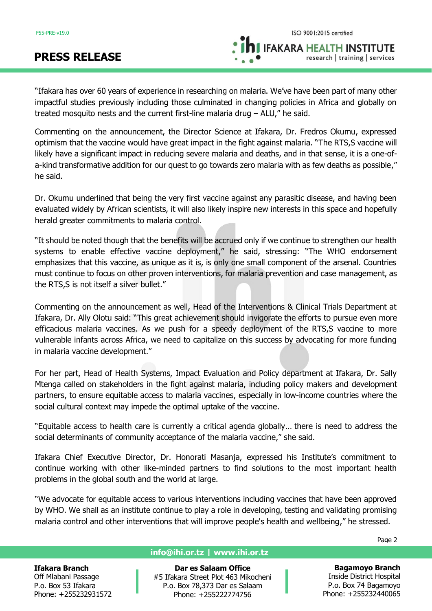**IFAKARA HEALTH INSTITUTE** 

research | training | services

"Ifakara has over 60 years of experience in researching on malaria. We've have been part of many other impactful studies previously including those culminated in changing policies in Africa and globally on treated mosquito nests and the current first-line malaria drug – ALU," he said.

Commenting on the announcement, the Director Science at Ifakara, Dr. Fredros Okumu, expressed optimism that the vaccine would have great impact in the fight against malaria. "The RTS,S vaccine will likely have a significant impact in reducing severe malaria and deaths, and in that sense, it is a one-ofa-kind transformative addition for our quest to go towards zero malaria with as few deaths as possible," he said.

Dr. Okumu underlined that being the very first vaccine against any parasitic disease, and having been evaluated widely by African scientists, it will also likely inspire new interests in this space and hopefully herald greater commitments to malaria control.

"It should be noted though that the benefits will be accrued only if we continue to strengthen our health systems to enable effective vaccine deployment," he said, stressing: "The WHO endorsement emphasizes that this vaccine, as unique as it is, is only one small component of the arsenal. Countries must continue to focus on other proven interventions, for malaria prevention and case management, as the RTS,S is not itself a silver bullet."

Commenting on the announcement as well, Head of the Interventions & Clinical Trials Department at Ifakara, Dr. Ally Olotu said: "This great achievement should invigorate the efforts to pursue even more efficacious malaria vaccines. As we push for a speedy deployment of the RTS,S vaccine to more vulnerable infants across Africa, we need to capitalize on this success by advocating for more funding in malaria vaccine development."

For her part, Head of Health Systems, Impact Evaluation and Policy department at Ifakara, Dr. Sally Mtenga called on stakeholders in the fight against malaria, including policy makers and development partners, to ensure equitable access to malaria vaccines, especially in low-income countries where the social cultural context may impede the optimal uptake of the vaccine.

"Equitable access to health care is currently a critical agenda globally… there is need to address the social determinants of community acceptance of the malaria vaccine," she said.

Ifakara Chief Executive Director, Dr. Honorati Masanja, expressed his Institute's commitment to continue working with other like-minded partners to find solutions to the most important health problems in the global south and the world at large.

"We advocate for equitable access to various interventions including vaccines that have been approved by WHO. We shall as an institute continue to play a role in developing, testing and validating promising malaria control and other interventions that will improve people's health and wellbeing," he stressed.

**Ifakara Branch**

Off Mlabani Passage P.o. Box 53 Ifakara Phone: +255232931572

### **info@ihi.or.tz | www.ihi.or.tz**

**Dar es Salaam Office** #5 Ifakara Street Plot 463 Mikocheni P.o. Box 78,373 Dar es Salaam Phone: +255222774756

**Bagamoyo Branch** Inside District Hospital P.o. Box 74 Bagamoyo Phone: +255232440065

2 Page 2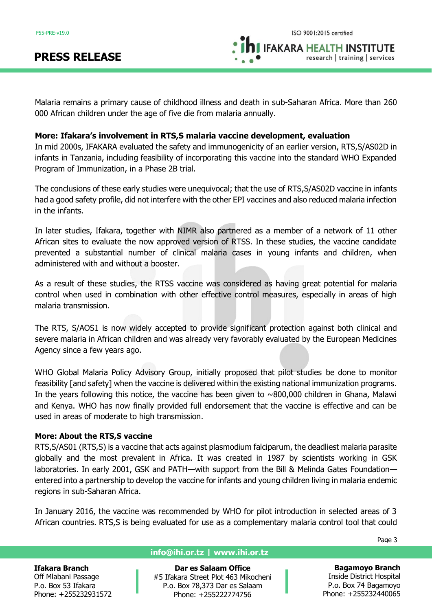**IFAKARA HEALTH INSTITUTE** 

research | training | services

Malaria remains a primary cause of childhood illness and death in sub-Saharan Africa. More than 260 000 African children under the age of five die from malaria annually.

## **More: Ifakara's involvement in RTS,S malaria vaccine development, evaluation**

In mid 2000s, IFAKARA evaluated the safety and immunogenicity of an earlier version, RTS,S/AS02D in infants in Tanzania, including feasibility of incorporating this vaccine into the standard WHO Expanded Program of Immunization, in a Phase 2B trial.

The conclusions of these early studies were unequivocal; that the use of RTS,S/AS02D vaccine in infants had a good safety profile, did not interfere with the other EPI vaccines and also reduced malaria infection in the infants.

In later studies, Ifakara, together with NIMR also partnered as a member of a network of 11 other African sites to evaluate the now approved version of RTSS. In these studies, the vaccine candidate prevented a substantial number of clinical malaria cases in young infants and children, when administered with and without a booster.

As a result of these studies, the RTSS vaccine was considered as having great potential for malaria control when used in combination with other effective control measures, especially in areas of high malaria transmission.

The RTS, S/AOS1 is now widely accepted to provide significant protection against both clinical and severe malaria in African children and was already very favorably evaluated by the European Medicines Agency since a few years ago.

WHO Global Malaria Policy Advisory Group, initially proposed that pilot studies be done to monitor feasibility [and safety] when the vaccine is delivered within the existing national immunization programs. In the years following this notice, the vaccine has been given to  $\sim 800,000$  children in Ghana, Malawi and Kenya. WHO has now finally provided full endorsement that the vaccine is effective and can be used in areas of moderate to high transmission.

## **More: About the RTS,S vaccine**

RTS,S/AS01 (RTS,S) is a vaccine that acts against plasmodium falciparum, the deadliest malaria parasite globally and the most prevalent in Africa. It was created in 1987 by scientists working in GSK laboratories. In early 2001, GSK and PATH—with support from the Bill & Melinda Gates Foundation entered into a partnership to develop the vaccine for infants and young children living in malaria endemic regions in sub-Saharan Africa.

In January 2016, the vaccine was recommended by WHO for pilot introduction in selected areas of 3 African countries. RTS,S is being evaluated for use as a complementary malaria control tool that could

**Ifakara Branch**

Off Mlabani Passage P.o. Box 53 Ifakara Phone: +255232931572

## **info@ihi.or.tz | www.ihi.or.tz**

**Dar es Salaam Office** #5 Ifakara Street Plot 463 Mikocheni P.o. Box 78,373 Dar es Salaam Phone: +255222774756

Page 3

**Bagamoyo Branch** Inside District Hospital P.o. Box 74 Bagamoyo Phone: +255232440065